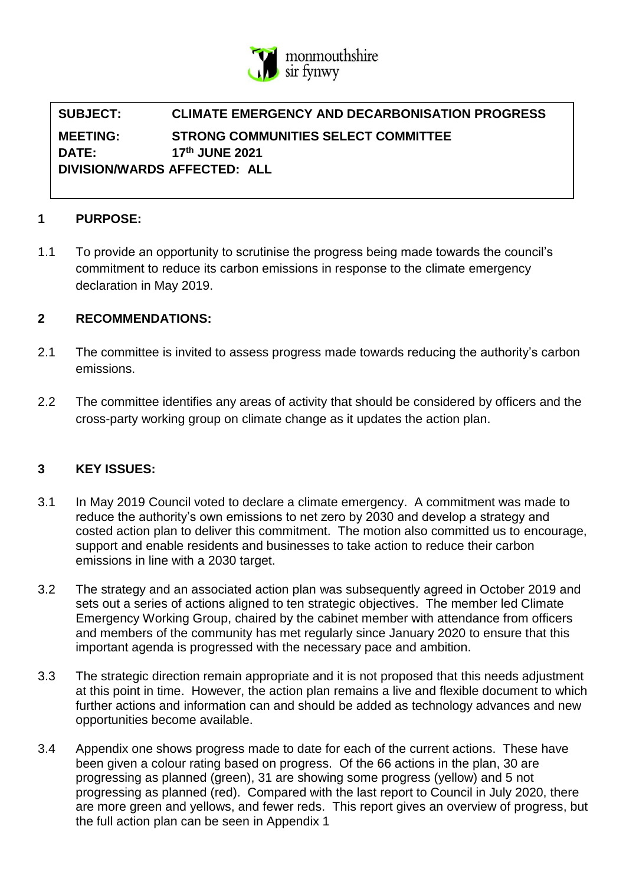

# **SUBJECT: CLIMATE EMERGENCY AND DECARBONISATION PROGRESS MEETING: STRONG COMMUNITIES SELECT COMMITTEE DATE: 17th JUNE 2021 DIVISION/WARDS AFFECTED: ALL**

### **1 PURPOSE:**

1.1 To provide an opportunity to scrutinise the progress being made towards the council's commitment to reduce its carbon emissions in response to the climate emergency declaration in May 2019.

## **2 RECOMMENDATIONS:**

- 2.1 The committee is invited to assess progress made towards reducing the authority's carbon emissions.
- 2.2 The committee identifies any areas of activity that should be considered by officers and the cross-party working group on climate change as it updates the action plan.

#### **3 KEY ISSUES:**

- 3.1 In May 2019 Council voted to declare a climate emergency. A commitment was made to reduce the authority's own emissions to net zero by 2030 and develop a strategy and costed action plan to deliver this commitment. The motion also committed us to encourage, support and enable residents and businesses to take action to reduce their carbon emissions in line with a 2030 target.
- 3.2 The strategy and an associated action plan was subsequently agreed in October 2019 and sets out a series of actions aligned to ten strategic objectives. The member led Climate Emergency Working Group, chaired by the cabinet member with attendance from officers and members of the community has met regularly since January 2020 to ensure that this important agenda is progressed with the necessary pace and ambition.
- 3.3 The strategic direction remain appropriate and it is not proposed that this needs adjustment at this point in time. However, the action plan remains a live and flexible document to which further actions and information can and should be added as technology advances and new opportunities become available.
- 3.4 Appendix one shows progress made to date for each of the current actions. These have been given a colour rating based on progress. Of the 66 actions in the plan, 30 are progressing as planned (green), 31 are showing some progress (yellow) and 5 not progressing as planned (red). Compared with the last report to Council in July 2020, there are more green and yellows, and fewer reds. This report gives an overview of progress, but the full action plan can be seen in Appendix 1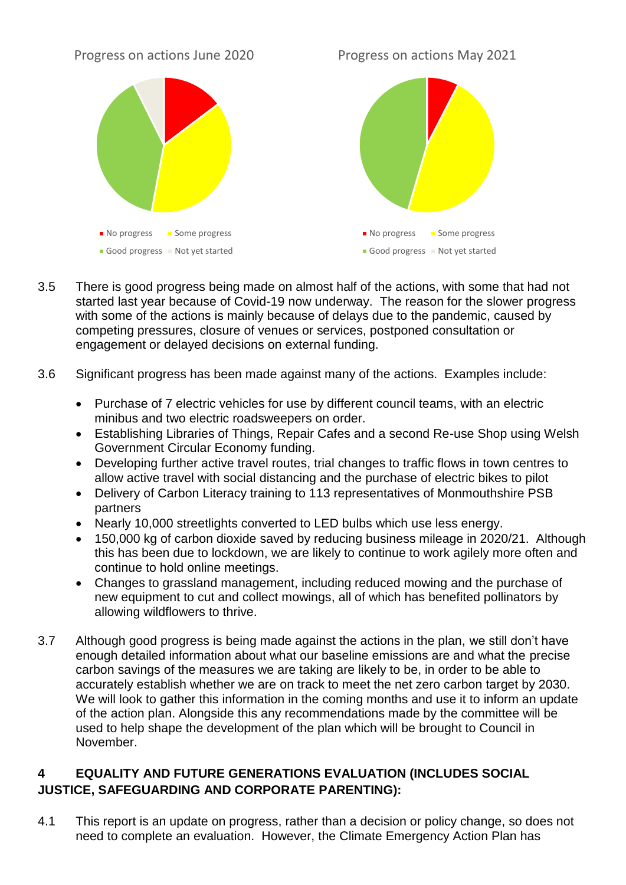#### Progress on actions June 2020

Progress on actions May 2021



- 3.5 There is good progress being made on almost half of the actions, with some that had not started last year because of Covid-19 now underway. The reason for the slower progress with some of the actions is mainly because of delays due to the pandemic, caused by competing pressures, closure of venues or services, postponed consultation or engagement or delayed decisions on external funding.
- 3.6 Significant progress has been made against many of the actions. Examples include:
	- Purchase of 7 electric vehicles for use by different council teams, with an electric minibus and two electric roadsweepers on order.
	- Establishing Libraries of Things, Repair Cafes and a second Re-use Shop using Welsh Government Circular Economy funding.
	- Developing further active travel routes, trial changes to traffic flows in town centres to allow active travel with social distancing and the purchase of electric bikes to pilot
	- Delivery of Carbon Literacy training to 113 representatives of Monmouthshire PSB partners
	- Nearly 10,000 streetlights converted to LED bulbs which use less energy.
	- 150,000 kg of carbon dioxide saved by reducing business mileage in 2020/21. Although this has been due to lockdown, we are likely to continue to work agilely more often and continue to hold online meetings.
	- Changes to grassland management, including reduced mowing and the purchase of new equipment to cut and collect mowings, all of which has benefited pollinators by allowing wildflowers to thrive.
- 3.7 Although good progress is being made against the actions in the plan, we still don't have enough detailed information about what our baseline emissions are and what the precise carbon savings of the measures we are taking are likely to be, in order to be able to accurately establish whether we are on track to meet the net zero carbon target by 2030. We will look to gather this information in the coming months and use it to inform an update of the action plan. Alongside this any recommendations made by the committee will be used to help shape the development of the plan which will be brought to Council in November.

# **4 EQUALITY AND FUTURE GENERATIONS EVALUATION (INCLUDES SOCIAL JUSTICE, SAFEGUARDING AND CORPORATE PARENTING):**

4.1 This report is an update on progress, rather than a decision or policy change, so does not need to complete an evaluation. However, the Climate Emergency Action Plan has